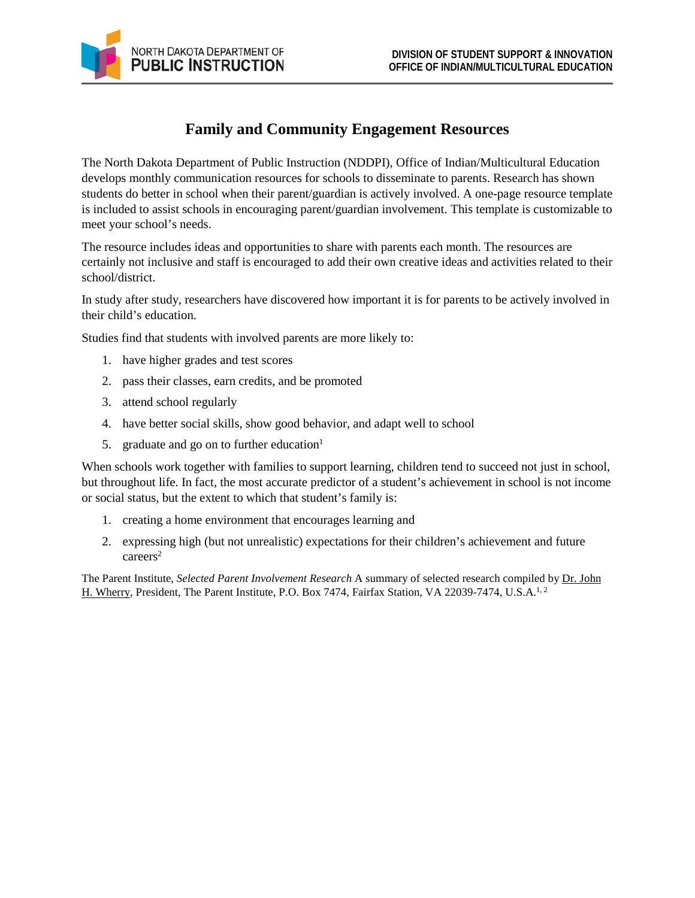## **Family and Community Engagement Resources**

The North Dakota Department of Public Instruction (NDDPI), Office of Indian/Multicultural Education develops monthly communication resources for schools to disseminate to parents. Research has shown students do better in school when their parent/guardian is actively involved. A one-page resource template is included to assist schools in encouraging parent/guardian involvement. This template is customizable to meet your school's needs.

The resource includes ideas and opportunities to share with parents each month. The resources are certainly not inclusive and staff is encouraged to add their own creative ideas and activities related to their school/district.

In study after study, researchers have discovered how important it is for parents to be actively involved in their child's education.

Studies find that students with involved parents are more likely to:

- 1. have higher grades and test scores
- 2. pass their classes, earn credits, and be promoted
- 3. attend school regularly
- 4. have better social skills, show good behavior, and adapt well to school
- 5. graduate and go on to further education $<sup>1</sup>$ </sup>

When schools work together with families to support learning, children tend to succeed not just in school, but throughout life. In fact, the most accurate predictor of a student's achievement in school is not income or social status, but the extent to which that student's family is:

- 1. creating a home environment that encourages learning and
- 2. expressing high (but not unrealistic) expectations for their children's achievement and future careers<sup>2</sup>

The Parent Institute, *Selected Parent Involvement Research* A summary of selected research compiled b[y Dr. John](mailto:jhw@par-inst.com)  [H. Wherry,](mailto:jhw@par-inst.com) President, The Parent Institute, P.O. Box 7474, Fairfax Station, VA 22039-7474, U.S.A.<sup>1,2</sup>